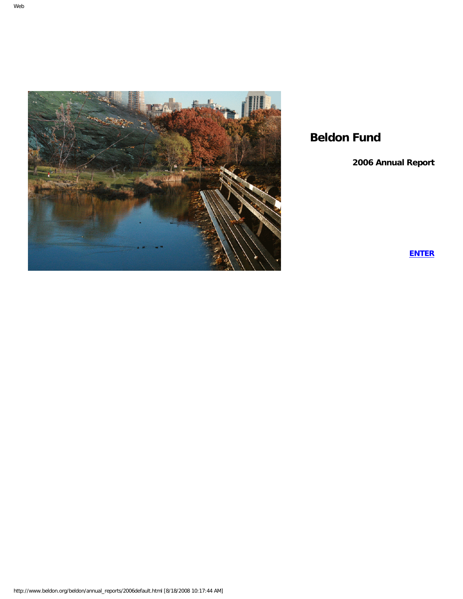

# **Beldon Fund**

**2006 Annual Report**

**[ENTER](#page-1-0)**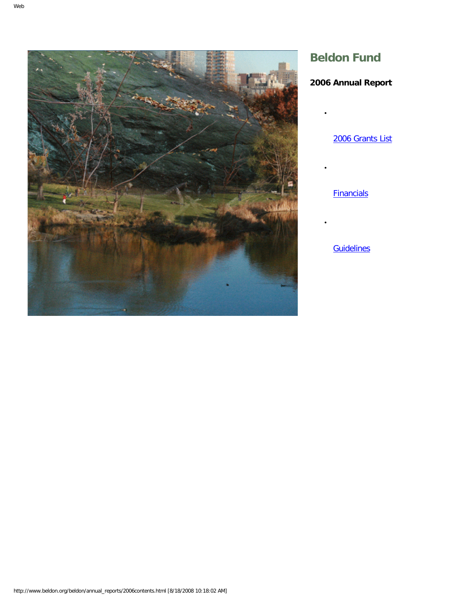<span id="page-1-0"></span>

# **Beldon Fund**

●

●

●

# **2006 Annual Report**

[2006 Grants List](#page-2-0)

**[Financials](#page-34-0)** 

**[Guidelines](#page-23-0)**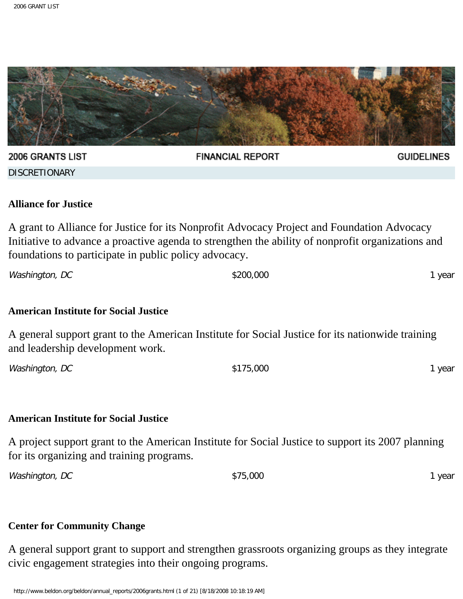<span id="page-2-0"></span>

#### **Alliance for Justice**

A grant to Alliance for Justice for its Nonprofit Advocacy Project and Foundation Advocacy Initiative to advance a proactive agenda to strengthen the ability of nonprofit organizations and foundations to participate in public policy advocacy.

Washington, DC 1 year

#### **American Institute for Social Justice**

A general support grant to the American Institute for Social Justice for its nationwide training and leadership development work.

Washington, DC 1 year

#### **American Institute for Social Justice**

A project support grant to the American Institute for Social Justice to support its 2007 planning for its organizing and training programs.

Washington, DC 1 year

# **Center for Community Change**

A general support grant to support and strengthen grassroots organizing groups as they integrate civic engagement strategies into their ongoing programs.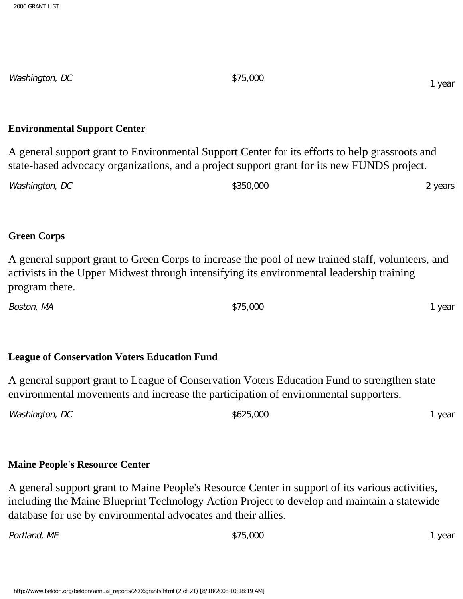Washington, DC \$75,000

#### **Environmental Support Center**

A general support grant to Environmental Support Center for its efforts to help grassroots and state-based advocacy organizations, and a project support grant for its new FUNDS project.

| Washington, DC | \$350,000 | <sup>2</sup> years |
|----------------|-----------|--------------------|
|----------------|-----------|--------------------|

#### **Green Corps**

A general support grant to Green Corps to increase the pool of new trained staff, volunteers, and activists in the Upper Midwest through intensifying its environmental leadership training program there.

Boston, MA \$75,000 1 year

# **League of Conservation Voters Education Fund**

A general support grant to League of Conservation Voters Education Fund to strengthen state environmental movements and increase the participation of environmental supporters.

| Washington, DC | \$625,000 | year |
|----------------|-----------|------|
|                |           |      |

# **Maine People's Resource Center**

A general support grant to Maine People's Resource Center in support of its various activities, including the Maine Blueprint Technology Action Project to develop and maintain a statewide database for use by environmental advocates and their allies.

Portland, ME **1** year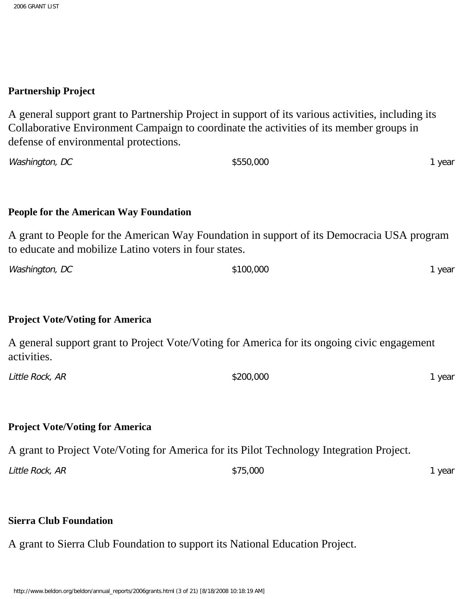#### **Partnership Project**

A general support grant to Partnership Project in support of its various activities, including its Collaborative Environment Campaign to coordinate the activities of its member groups in defense of environmental protections.

Washington, DC 1 year

#### **People for the American Way Foundation**

A grant to People for the American Way Foundation in support of its Democracia USA program to educate and mobilize Latino voters in four states.

| year |
|------|
|      |

#### **Project Vote/Voting for America**

A general support grant to Project Vote/Voting for America for its ongoing civic engagement activities.

| Little Rock, AR | \$200,000 | year |
|-----------------|-----------|------|
|                 |           |      |

#### **Project Vote/Voting for America**

A grant to Project Vote/Voting for America for its Pilot Technology Integration Project.

| Little Rock, AR | \$75,000 | year |
|-----------------|----------|------|
|                 |          |      |

# **Sierra Club Foundation**

A grant to Sierra Club Foundation to support its National Education Project.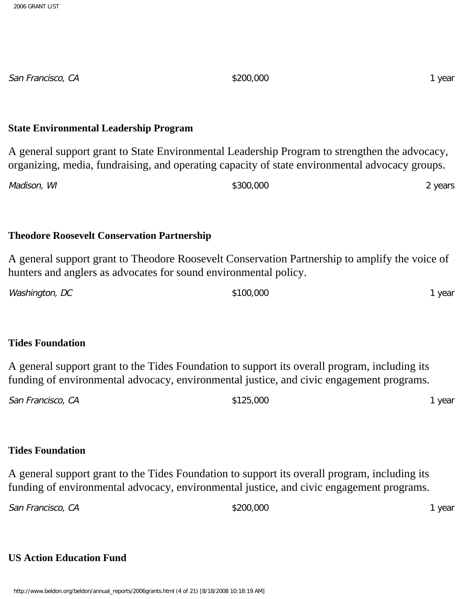**State Environmental Leadership Program**

A general support grant to State Environmental Leadership Program to strengthen the advocacy, organizing, media, fundraising, and operating capacity of state environmental advocacy groups. Madison, WI 2 years **Theodore Roosevelt Conservation Partnership** A general support grant to Theodore Roosevelt Conservation Partnership to amplify the voice of hunters and anglers as advocates for sound environmental policy. Washington, DC 3100,000 5100,000 1 year **Tides Foundation** A general support grant to the Tides Foundation to support its overall program, including its funding of environmental advocacy, environmental justice, and civic engagement programs. San Francisco, CA 6. 1 year **Tides Foundation** A general support grant to the Tides Foundation to support its overall program, including its funding of environmental advocacy, environmental justice, and civic engagement programs. San Francisco, CA **\$200,000** \$200,000 **1** year **US Action Education Fund**

San Francisco, CA **6. 200 1 year** \$200,000 **1 year** \$200,000 1 year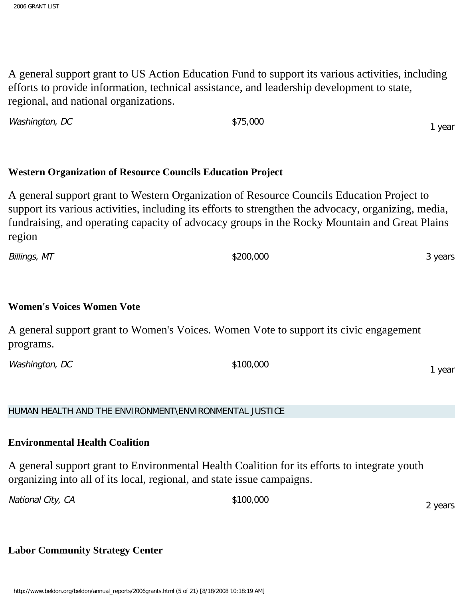A general support grant to US Action Education Fund to support its various activities, including efforts to provide information, technical assistance, and leadership development to state, regional, and national organizations.

**Western Organization of Resource Councils Education Project** A general support grant to Western Organization of Resource Councils Education Project to support its various activities, including its efforts to strengthen the advocacy, organizing, media, fundraising, and operating capacity of advocacy groups in the Rocky Mountain and Great Plains region

Billings, MT \$200,000 3 years

# **Women's Voices Women Vote**

A general support grant to Women's Voices. Women Vote to support its civic engagement programs.

Washington, DC \$100,000

HUMAN HEALTH AND THE ENVIRONMENT\ENVIRONMENTAL JUSTICE

Washington, DC \$75,000

# **Environmental Health Coalition**

A general support grant to Environmental Health Coalition for its efforts to integrate youth organizing into all of its local, regional, and state issue campaigns.

National City, CA  $$100,000$ 

# **Labor Community Strategy Center**

1 year

1 year

2 years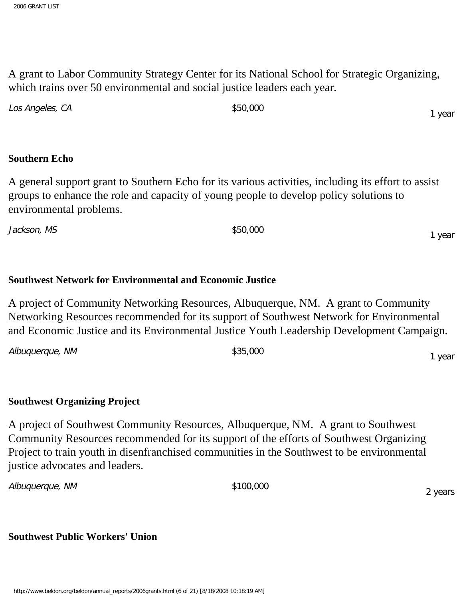A grant to Labor Community Strategy Center for its National School for Strategic Organizing, which trains over 50 environmental and social justice leaders each year.

| Los Angeles, CA | \$50,000 | 1 year |
|-----------------|----------|--------|
|                 |          |        |

#### **Southern Echo**

A general support grant to Southern Echo for its various activities, including its effort to assist groups to enhance the role and capacity of young people to develop policy solutions to environmental problems.

Jackson, MS \$50,000

# **Southwest Network for Environmental and Economic Justice**

A project of Community Networking Resources, Albuquerque, NM. A grant to Community Networking Resources recommended for its support of Southwest Network for Environmental and Economic Justice and its Environmental Justice Youth Leadership Development Campaign.

Albuquerque, NM  $$35,000$ 

# **Southwest Organizing Project**

A project of Southwest Community Resources, Albuquerque, NM. A grant to Southwest Community Resources recommended for its support of the efforts of Southwest Organizing Project to train youth in disenfranchised communities in the Southwest to be environmental justice advocates and leaders.

Albuquerque, NM  $$100,000$ 

2 years

1 year

1 year

**Southwest Public Workers' Union**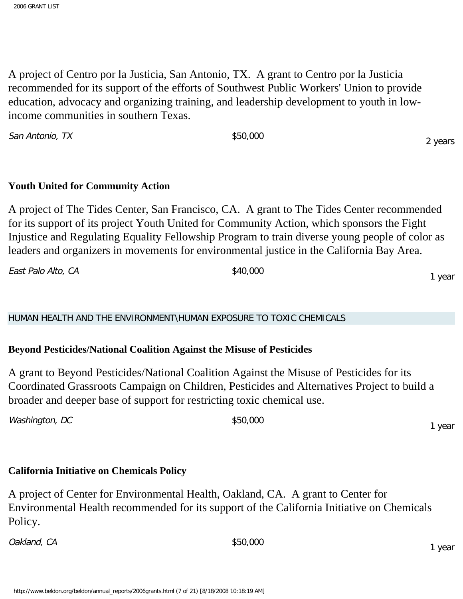2006 GRANT LIST

A project of Centro por la Justicia, San Antonio, TX. A grant to Centro por la Justicia recommended for its support of the efforts of Southwest Public Workers' Union to provide education, advocacy and organizing training, and leadership development to youth in lowincome communities in southern Texas.

San Antonio, TX  $$50,000$ 

# **Youth United for Community Action**

A project of The Tides Center, San Francisco, CA. A grant to The Tides Center recommended for its support of its project Youth United for Community Action, which sponsors the Fight Injustice and Regulating Equality Fellowship Program to train diverse young people of color as leaders and organizers in movements for environmental justice in the California Bay Area.

East Palo Alto, CA  $\text{\$40,000}$ 

HUMAN HEALTH AND THE ENVIRONMENT\HUMAN EXPOSURE TO TOXIC CHEMICALS

# **Beyond Pesticides/National Coalition Against the Misuse of Pesticides**

A grant to Beyond Pesticides/National Coalition Against the Misuse of Pesticides for its Coordinated Grassroots Campaign on Children, Pesticides and Alternatives Project to build a broader and deeper base of support for restricting toxic chemical use.

Washington, DC \$50,000

# **California Initiative on Chemicals Policy**

A project of Center for Environmental Health, Oakland, CA. A grant to Center for Environmental Health recommended for its support of the California Initiative on Chemicals Policy.

Oakland, CA  $\frac{1}{50,000}$ 

2 years

1 year

1 year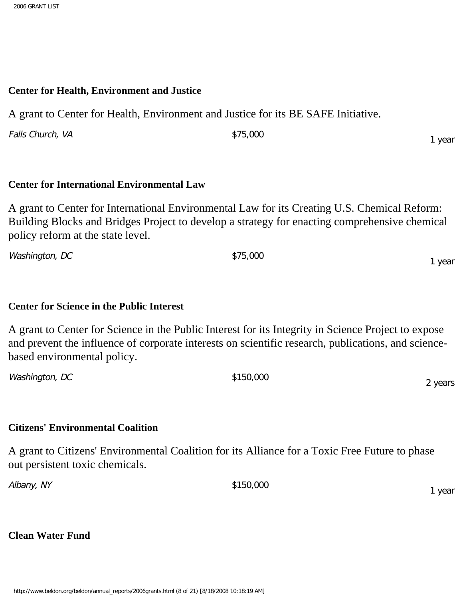#### **Center for Health, Environment and Justice**

A grant to Center for Health, Environment and Justice for its BE SAFE Initiative.

Falls Church, VA  $$75,000$ 

# **Center for International Environmental Law**

A grant to Center for International Environmental Law for its Creating U.S. Chemical Reform: Building Blocks and Bridges Project to develop a strategy for enacting comprehensive chemical policy reform at the state level.

Washington, DC \$75,000 1 year

# **Center for Science in the Public Interest**

A grant to Center for Science in the Public Interest for its Integrity in Science Project to expose and prevent the influence of corporate interests on scientific research, publications, and sciencebased environmental policy.

| Washington, DC | \$150,000 |              |
|----------------|-----------|--------------|
|                |           | <b>NASKS</b> |

# **Citizens' Environmental Coalition**

A grant to Citizens' Environmental Coalition for its Alliance for a Toxic Free Future to phase out persistent toxic chemicals.

Albany, NY \$150,000 1 year

# **Clean Water Fund**

http://www.beldon.org/beldon/annual\_reports/2006grants.html (8 of 21) [8/18/2008 10:18:19 AM]

1 year

2 years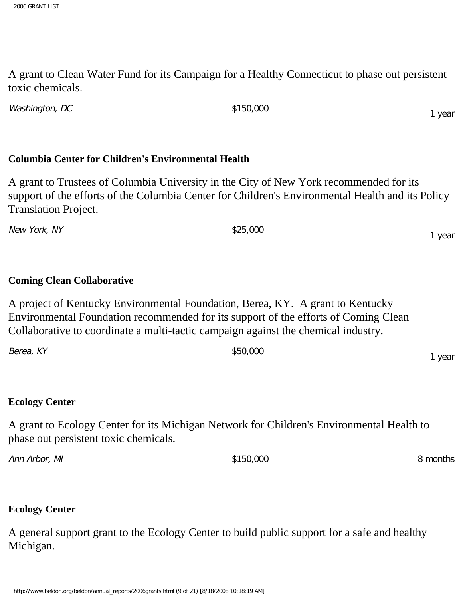A grant to Clean Water Fund for its Campaign for a Healthy Connecticut to phase out persistent toxic chemicals.

Washington, DC \$150,000

# **Columbia Center for Children's Environmental Health**

A grant to Trustees of Columbia University in the City of New York recommended for its support of the efforts of the Columbia Center for Children's Environmental Health and its Policy Translation Project.

New York, NY \$25,000

# **Coming Clean Collaborative**

A project of Kentucky Environmental Foundation, Berea, KY. A grant to Kentucky Environmental Foundation recommended for its support of the efforts of Coming Clean Collaborative to coordinate a multi-tactic campaign against the chemical industry.

| Berea, KY | \$50,000 | vear |
|-----------|----------|------|
|           |          |      |

# **Ecology Center**

A grant to Ecology Center for its Michigan Network for Children's Environmental Health to phase out persistent toxic chemicals.

Ann Arbor, MI 8 months

# **Ecology Center**

A general support grant to the Ecology Center to build public support for a safe and healthy Michigan.

1 year

1 year

y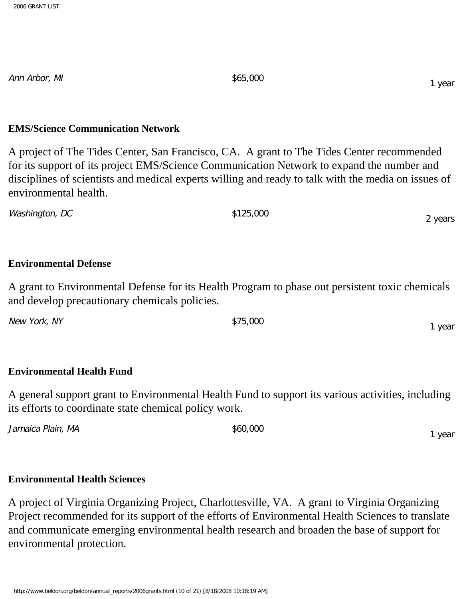Ann Arbor, MI  $$65,000$ 

#### **EMS/Science Communication Network**

A project of The Tides Center, San Francisco, CA. A grant to The Tides Center recommended for its support of its project EMS/Science Communication Network to expand the number and disciplines of scientists and medical experts willing and ready to talk with the media on issues of environmental health.

Washington, DC \$125,000 2 years

# **Environmental Defense**

A grant to Environmental Defense for its Health Program to phase out persistent toxic chemicals and develop precautionary chemicals policies.

New York, NY  $$75,000$ 

# **Environmental Health Fund**

A general support grant to Environmental Health Fund to support its various activities, including its efforts to coordinate state chemical policy work.

Jamaica Plain, MA  $$60,000$ 

# **Environmental Health Sciences**

A project of Virginia Organizing Project, Charlottesville, VA. A grant to Virginia Organizing Project recommended for its support of the efforts of Environmental Health Sciences to translate and communicate emerging environmental health research and broaden the base of support for environmental protection.

1 year

1 year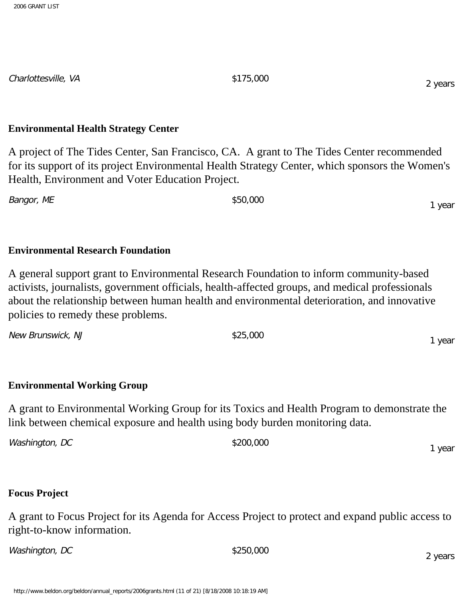Charlottesville, VA  $$175,000$ 

#### **Environmental Health Strategy Center**

A project of The Tides Center, San Francisco, CA. A grant to The Tides Center recommended for its support of its project Environmental Health Strategy Center, which sponsors the Women's Health, Environment and Voter Education Project.

Bangor, ME \$50,000

# **Environmental Research Foundation**

A general support grant to Environmental Research Foundation to inform community-based activists, journalists, government officials, health-affected groups, and medical professionals about the relationship between human health and environmental deterioration, and innovative policies to remedy these problems.

New Brunswick, NJ  $$25,000$ 

# **Environmental Working Group**

A grant to Environmental Working Group for its Toxics and Health Program to demonstrate the link between chemical exposure and health using body burden monitoring data.

 $Washington, DC$  \$200,000 1 year

# **Focus Project**

A grant to Focus Project for its Agenda for Access Project to protect and expand public access to right-to-know information.

 $Washington, DC$  \$250,000

http://www.beldon.org/beldon/annual\_reports/2006grants.html (11 of 21) [8/18/2008 10:18:19 AM]

1 year

1 year

2 years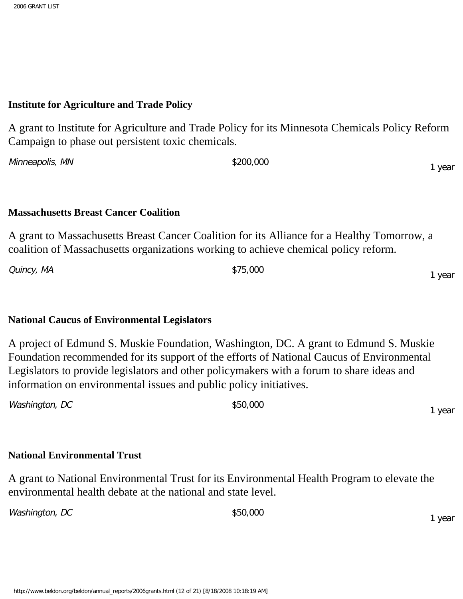#### **Institute for Agriculture and Trade Policy**

A grant to Institute for Agriculture and Trade Policy for its Minnesota Chemicals Policy Reform Campaign to phase out persistent toxic chemicals.

Minneapolis, MN  $$200,000$ 

#### **Massachusetts Breast Cancer Coalition**

A grant to Massachusetts Breast Cancer Coalition for its Alliance for a Healthy Tomorrow, a coalition of Massachusetts organizations working to achieve chemical policy reform.

Quincy, MA \$75,000

# **National Caucus of Environmental Legislators**

A project of Edmund S. Muskie Foundation, Washington, DC. A grant to Edmund S. Muskie Foundation recommended for its support of the efforts of National Caucus of Environmental Legislators to provide legislators and other policymakers with a forum to share ideas and information on environmental issues and public policy initiatives.

| Washington, DC | \$50,000 |      |
|----------------|----------|------|
|                |          | year |

#### **National Environmental Trust**

A grant to National Environmental Trust for its Environmental Health Program to elevate the environmental health debate at the national and state level.

Washington, DC  $$50,000$ 

1 year

1 year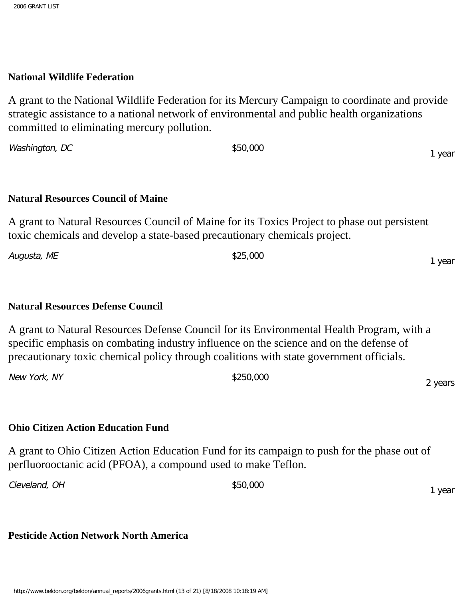#### **National Wildlife Federation**

A grant to the National Wildlife Federation for its Mercury Campaign to coordinate and provide strategic assistance to a national network of environmental and public health organizations committed to eliminating mercury pollution.

Washington, DC \$50,000

# **Natural Resources Council of Maine**

A grant to Natural Resources Council of Maine for its Toxics Project to phase out persistent toxic chemicals and develop a state-based precautionary chemicals project.

| Augusta, ME | \$25,000 | year |
|-------------|----------|------|
|             |          |      |

#### **Natural Resources Defense Council**

A grant to Natural Resources Defense Council for its Environmental Health Program, with a specific emphasis on combating industry influence on the science and on the defense of precautionary toxic chemical policy through coalitions with state government officials.

New York, NY \$250,000

# **Ohio Citizen Action Education Fund**

A grant to Ohio Citizen Action Education Fund for its campaign to push for the phase out of perfluorooctanic acid (PFOA), a compound used to make Teflon.

Cleveland, OH  $$50,000$ 

1 year

2 years

# **Pesticide Action Network North America**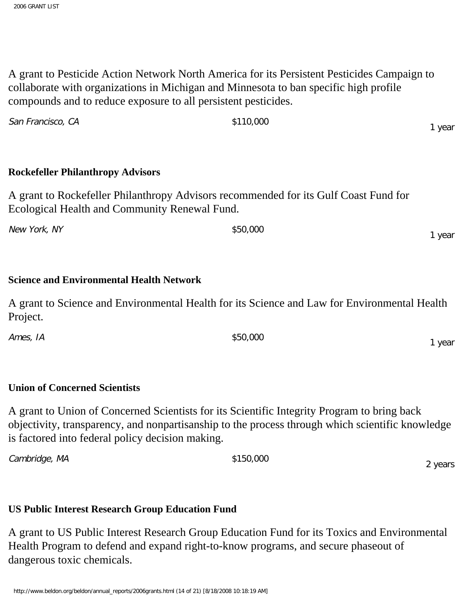A grant to Pesticide Action Network North America for its Persistent Pesticides Campaign to collaborate with organizations in Michigan and Minnesota to ban specific high profile compounds and to reduce exposure to all persistent pesticides.

| <b>Rockefeller Philanthropy Advisors</b>                                                                                              |          |        |
|---------------------------------------------------------------------------------------------------------------------------------------|----------|--------|
| A grant to Rockefeller Philanthropy Advisors recommended for its Gulf Coast Fund for<br>Ecological Health and Community Renewal Fund. |          |        |
| New York, NY                                                                                                                          | \$50,000 | 1 year |
|                                                                                                                                       |          |        |

# **Science and Environmental Health Network**

San Francisco, CA  $\sim$  \$110,000

A grant to Science and Environmental Health for its Science and Law for Environmental Health Project.

Ames, IA  $$50,000$ 1 year

# **Union of Concerned Scientists**

A grant to Union of Concerned Scientists for its Scientific Integrity Program to bring back objectivity, transparency, and nonpartisanship to the process through which scientific knowledge is factored into federal policy decision making.

Cambridge, MA  $$150,000$ 

2 years

1 year

# **US Public Interest Research Group Education Fund**

A grant to US Public Interest Research Group Education Fund for its Toxics and Environmental Health Program to defend and expand right-to-know programs, and secure phaseout of dangerous toxic chemicals.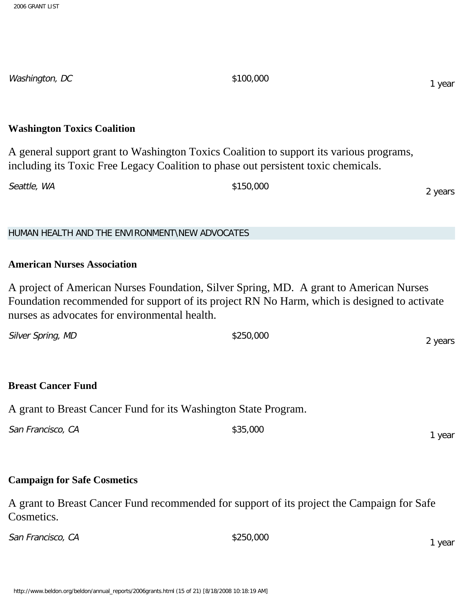**Washington Toxics Coalition** A general support grant to Washington Toxics Coalition to support its various programs, including its Toxic Free Legacy Coalition to phase out persistent toxic chemicals. Seattle, WA  $\qquad$  \$150,000 2 years HUMAN HEALTH AND THE ENVIRONMENT\NEW ADVOCATES **American Nurses Association** A project of American Nurses Foundation, Silver Spring, MD. A grant to American Nurses Foundation recommended for support of its project RN No Harm, which is designed to activate nurses as advocates for environmental health. Silver Spring, MD  $$250,000$ 2 years **Breast Cancer Fund** A grant to Breast Cancer Fund for its Washington State Program. San Francisco, CA  $$35,000$ 1 year **Campaign for Safe Cosmetics** A grant to Breast Cancer Fund recommended for support of its project the Campaign for Safe Cosmetics. San Francisco, CA  $$250,000$ 1 year

1 year

Washington, DC \$100,000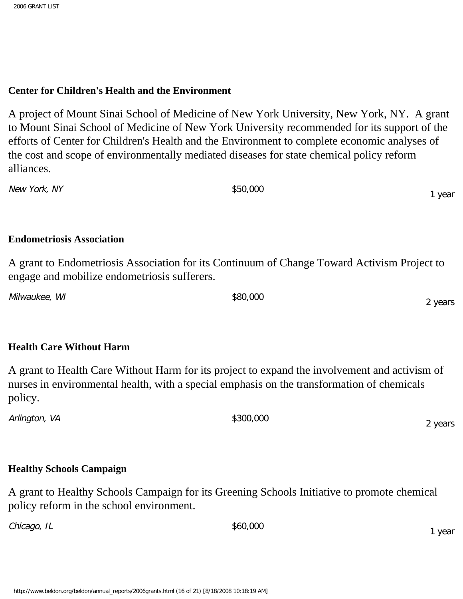#### **Center for Children's Health and the Environment**

A project of Mount Sinai School of Medicine of New York University, New York, NY. A grant to Mount Sinai School of Medicine of New York University recommended for its support of the efforts of Center for Children's Health and the Environment to complete economic analyses of the cost and scope of environmentally mediated diseases for state chemical policy reform alliances.

New York, NY \$50,000

#### **Endometriosis Association**

A grant to Endometriosis Association for its Continuum of Change Toward Activism Project to engage and mobilize endometriosis sufferers.

Milwaukee, WI  $$80,000$ 

#### **Health Care Without Harm**

A grant to Health Care Without Harm for its project to expand the involvement and activism of nurses in environmental health, with a special emphasis on the transformation of chemicals policy.

Arlington, VA  $$300,000$ 

# **Healthy Schools Campaign**

A grant to Healthy Schools Campaign for its Greening Schools Initiative to promote chemical policy reform in the school environment.

 $Chicago, IL$   $$60,000$ 

1 year

1 year

2 years

2 years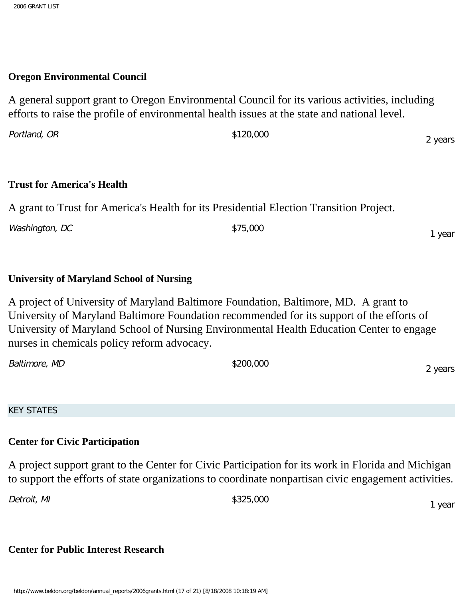#### **Oregon Environmental Council**

A general support grant to Oregon Environmental Council for its various activities, including efforts to raise the profile of environmental health issues at the state and national level.

| Portland, OR | \$120,000 | 2 years |
|--------------|-----------|---------|
|              |           |         |

#### **Trust for America's Health**

A grant to Trust for America's Health for its Presidential Election Transition Project.

Washington, DC \$75,000

# **University of Maryland School of Nursing**

A project of University of Maryland Baltimore Foundation, Baltimore, MD. A grant to University of Maryland Baltimore Foundation recommended for its support of the efforts of University of Maryland School of Nursing Environmental Health Education Center to engage nurses in chemicals policy reform advocacy.

| Baltimore, MD | \$200,000 | vears |
|---------------|-----------|-------|
|               |           |       |

KEY STATES

# **Center for Civic Participation**

A project support grant to the Center for Civic Participation for its work in Florida and Michigan to support the efforts of state organizations to coordinate nonpartisan civic engagement activities.

Detroit, MI  $$325,000$ 

1 year

# **Center for Public Interest Research**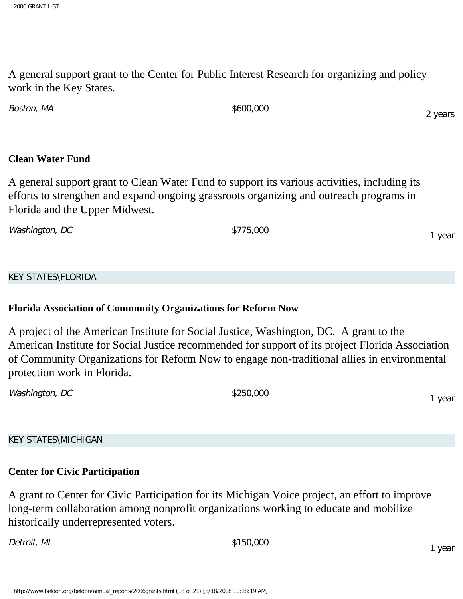A general support grant to the Center for Public Interest Research for organizing and policy work in the Key States.

Boston, MA  $$600,000$ 

# **Clean Water Fund**

A general support grant to Clean Water Fund to support its various activities, including its efforts to strengthen and expand ongoing grassroots organizing and outreach programs in Florida and the Upper Midwest.

Washington, DC \$775,000

# KEY STATES\FLORIDA

# **Florida Association of Community Organizations for Reform Now**

A project of the American Institute for Social Justice, Washington, DC. A grant to the American Institute for Social Justice recommended for support of its project Florida Association of Community Organizations for Reform Now to engage non-traditional allies in environmental protection work in Florida.

 $Washington, DC$  \$250,000

KEY STATES\MICHIGAN

# **Center for Civic Participation**

A grant to Center for Civic Participation for its Michigan Voice project, an effort to improve long-term collaboration among nonprofit organizations working to educate and mobilize historically underrepresented voters.

Detroit, MI  $$150,000$ 

1 year

1 year

1 year

2 years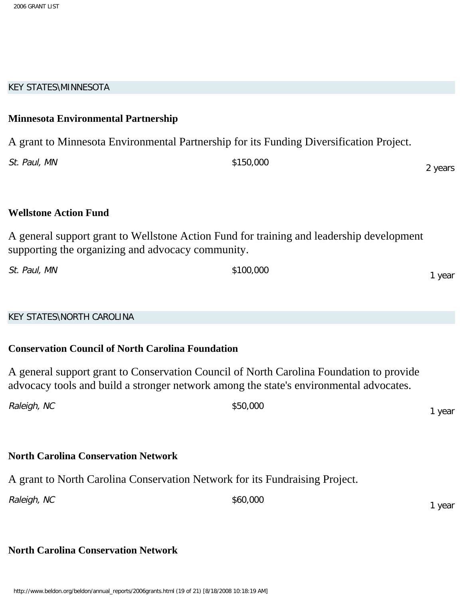#### KEY STATES\MINNESOTA

# **Minnesota Environmental Partnership** A grant to Minnesota Environmental Partnership for its Funding Diversification Project. St. Paul, MN  $$150,000$ 2 years **Wellstone Action Fund** A general support grant to Wellstone Action Fund for training and leadership development supporting the organizing and advocacy community. St. Paul, MN  $$100,000$ KEY STATES\NORTH CAROLINA **Conservation Council of North Carolina Foundation**

A general support grant to Conservation Council of North Carolina Foundation to provide advocacy tools and build a stronger network among the state's environmental advocates.

| Raleigh, NC | \$50,000 | 1 year |
|-------------|----------|--------|
|             |          |        |

# **North Carolina Conservation Network**

A grant to North Carolina Conservation Network for its Fundraising Project.

Raleigh, NC  $$60,000$ 

# **North Carolina Conservation Network**

1 year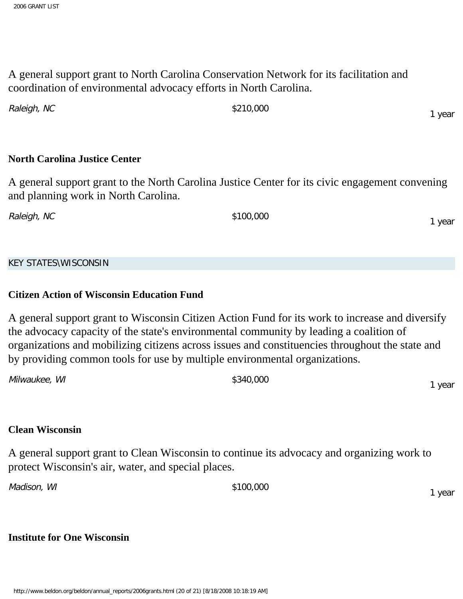A general support grant to North Carolina Conservation Network for its facilitation and coordination of environmental advocacy efforts in North Carolina.

| Raleigh, NC | \$210,000 | year |
|-------------|-----------|------|
|-------------|-----------|------|

#### **North Carolina Justice Center**

A general support grant to the North Carolina Justice Center for its civic engagement convening and planning work in North Carolina.

Raleigh, NC  $$100,000$ 

KEY STATES\WISCONSIN

#### **Citizen Action of Wisconsin Education Fund**

A general support grant to Wisconsin Citizen Action Fund for its work to increase and diversify the advocacy capacity of the state's environmental community by leading a coalition of organizations and mobilizing citizens across issues and constituencies throughout the state and by providing common tools for use by multiple environmental organizations.

| Milwaukee, WI | \$340,000 | year |
|---------------|-----------|------|
|               |           |      |

#### **Clean Wisconsin**

A general support grant to Clean Wisconsin to continue its advocacy and organizing work to protect Wisconsin's air, water, and special places.

Madison, WI  $\frac{$100,000}{1000}$ 

1 year

1 year

#### **Institute for One Wisconsin**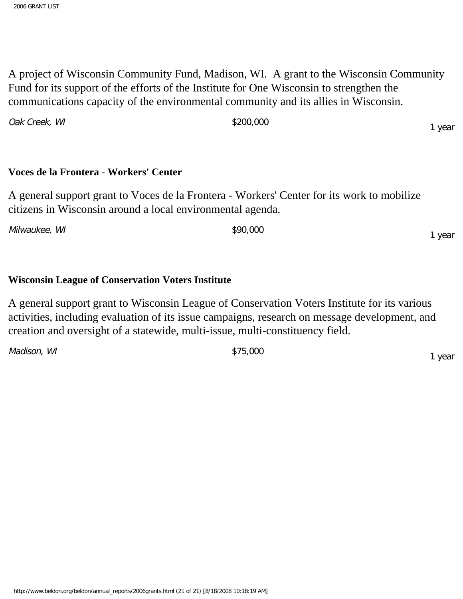A project of Wisconsin Community Fund, Madison, WI. A grant to the Wisconsin Community Fund for its support of the efforts of the Institute for One Wisconsin to strengthen the communications capacity of the environmental community and its allies in Wisconsin.

| Oak Creek, WI | \$200,000 | l year |
|---------------|-----------|--------|
|---------------|-----------|--------|

# **Voces de la Frontera - Workers' Center**

A general support grant to Voces de la Frontera - Workers' Center for its work to mobilize citizens in Wisconsin around a local environmental agenda.

Milwaukee, WI  $\frac{1}{2}$  \$90,000

# **Wisconsin League of Conservation Voters Institute**

A general support grant to Wisconsin League of Conservation Voters Institute for its various activities, including evaluation of its issue campaigns, research on message development, and creation and oversight of a statewide, multi-issue, multi-constituency field.

Madison, WI  $\frac{$75,000}{ }$ 

1 year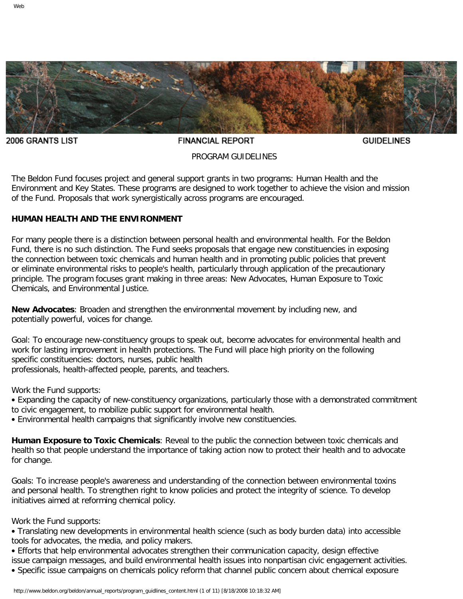<span id="page-23-0"></span>

2006 GRANTS LIST

**FINANCIAL REPORT** 

**GUIDELINES** 

#### PROGRAM GUIDELINES

The Beldon Fund focuses project and general support grants in two programs: Human Health and the Environment and Key States. These programs are designed to work together to achieve the vision and mission of the Fund. Proposals that work synergistically across programs are encouraged.

#### **HUMAN HEALTH AND THE ENVIRONMENT**

For many people there is a distinction between personal health and environmental health. For the Beldon Fund, there is no such distinction. The Fund seeks proposals that engage new constituencies in exposing the connection between toxic chemicals and human health and in promoting public policies that prevent or eliminate environmental risks to people's health, particularly through application of the precautionary principle. The program focuses grant making in three areas: New Advocates, Human Exposure to Toxic Chemicals, and Environmental Justice.

**New Advocates**: Broaden and strengthen the environmental movement by including new, and potentially powerful, voices for change.

Goal: To encourage new-constituency groups to speak out, become advocates for environmental health and work for lasting improvement in health protections. The Fund will place high priority on the following specific constituencies: doctors, nurses, public health professionals, health-affected people, parents, and teachers.

Work the Fund supports:

- Expanding the capacity of new-constituency organizations, particularly those with a demonstrated commitment to civic engagement, to mobilize public support for environmental health.
- Environmental health campaigns that significantly involve new constituencies.

**Human Exposure to Toxic Chemicals**: Reveal to the public the connection between toxic chemicals and health so that people understand the importance of taking action now to protect their health and to advocate for change.

Goals: To increase people's awareness and understanding of the connection between environmental toxins and personal health. To strengthen right to know policies and protect the integrity of science. To develop initiatives aimed at reforming chemical policy.

Work the Fund supports:

• Translating new developments in environmental health science (such as body burden data) into accessible tools for advocates, the media, and policy makers.

• Efforts that help environmental advocates strengthen their communication capacity, design effective issue campaign messages, and build environmental health issues into nonpartisan civic engagement activities. • Specific issue campaigns on chemicals policy reform that channel public concern about chemical exposure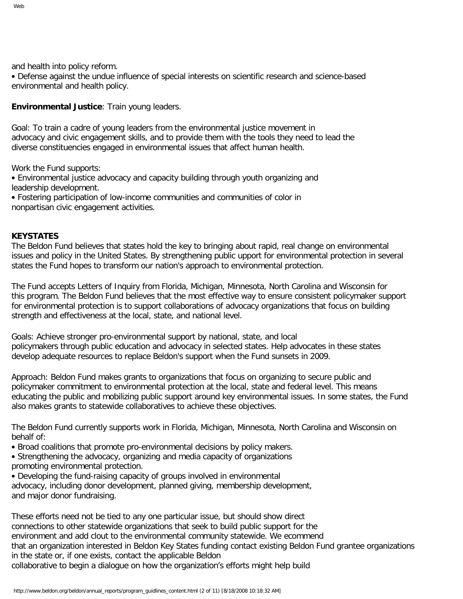and health into policy reform.

• Defense against the undue influence of special interests on scientific research and science-based environmental and health policy.

**Environmental Justice**: Train young leaders.

Goal: To train a cadre of young leaders from the environmental justice movement in advocacy and civic engagement skills, and to provide them with the tools they need to lead the diverse constituencies engaged in environmental issues that affect human health.

Work the Fund supports:

• Environmental justice advocacy and capacity building through youth organizing and leadership development.

• Fostering participation of low-income communities and communities of color in nonpartisan civic engagement activities.

#### **KEYSTATES**

The Beldon Fund believes that states hold the key to bringing about rapid, real change on environmental issues and policy in the United States. By strengthening public upport for environmental protection in several states the Fund hopes to transform our nation's approach to environmental protection.

The Fund accepts Letters of Inquiry from Florida, Michigan, Minnesota, North Carolina and Wisconsin for this program. The Beldon Fund believes that the most effective way to ensure consistent policymaker support for environmental protection is to support collaborations of advocacy organizations that focus on building strength and effectiveness at the local, state, and national level.

Goals: Achieve stronger pro-environmental support by national, state, and local policymakers through public education and advocacy in selected states. Help advocates in these states develop adequate resources to replace Beldon's support when the Fund sunsets in 2009.

Approach: Beldon Fund makes grants to organizations that focus on organizing to secure public and policymaker commitment to environmental protection at the local, state and federal level. This means educating the public and mobilizing public support around key environmental issues. In some states, the Fund also makes grants to statewide collaboratives to achieve these objectives.

The Beldon Fund currently supports work in Florida, Michigan, Minnesota, North Carolina and Wisconsin on behalf of:

- Broad coalitions that promote pro-environmental decisions by policy makers.
- Strengthening the advocacy, organizing and media capacity of organizations promoting environmental protection.
- Developing the fund-raising capacity of groups involved in environmental

advocacy, including donor development, planned giving, membership development, and major donor fundraising.

These efforts need not be tied to any one particular issue, but should show direct connections to other statewide organizations that seek to build public support for the environment and add clout to the environmental community statewide. We ecommend that an organization interested in Beldon Key States funding contact existing Beldon Fund grantee organizations in the state or, if one exists, contact the applicable Beldon collaborative to begin a dialogue on how the organization's efforts might help build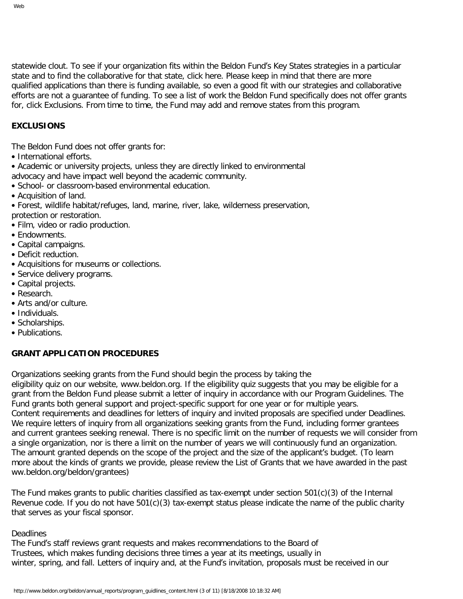statewide clout. To see if your organization fits within the Beldon Fund's Key States strategies in a particular state and to find the collaborative for that state, click here. Please keep in mind that there are more qualified applications than there is funding available, so even a good fit with our strategies and collaborative efforts are not a guarantee of funding. To see a list of work the Beldon Fund specifically does not offer grants for, click Exclusions. From time to time, the Fund may add and remove states from this program.

#### **EXCLUSIONS**

The Beldon Fund does not offer grants for:

- International efforts.
- Academic or university projects, unless they are directly linked to environmental
- advocacy and have impact well beyond the academic community.
- School- or classroom-based environmental education.
- Acquisition of land.
- Forest, wildlife habitat/refuges, land, marine, river, lake, wilderness preservation, protection or restoration.
- Film, video or radio production.
- Endowments.
- Capital campaigns.
- Deficit reduction.
- Acquisitions for museums or collections.
- Service delivery programs.
- Capital projects.
- Research.
- Arts and/or culture.
- Individuals.
- Scholarships.
- Publications.

#### **GRANT APPLICATION PROCEDURES**

Organizations seeking grants from the Fund should begin the process by taking the

eligibility quiz on our website, www.beldon.org. If the eligibility quiz suggests that you may be eligible for a grant from the Beldon Fund please submit a letter of inquiry in accordance with our Program Guidelines. The Fund grants both general support and project-specific support for one year or for multiple years. Content requirements and deadlines for letters of inquiry and invited proposals are specified under Deadlines. We require letters of inquiry from all organizations seeking grants from the Fund, including former grantees and current grantees seeking renewal. There is no specific limit on the number of requests we will consider from a single organization, nor is there a limit on the number of years we will continuously fund an organization. The amount granted depends on the scope of the project and the size of the applicant's budget. (To learn more about the kinds of grants we provide, please review the List of Grants that we have awarded in the past ww.beldon.org/beldon/grantees)

The Fund makes grants to public charities classified as tax-exempt under section 501(c)(3) of the Internal Revenue code. If you do not have 501(c)(3) tax-exempt status please indicate the name of the public charity that serves as your fiscal sponsor.

#### **Deadlines**

The Fund's staff reviews grant requests and makes recommendations to the Board of Trustees, which makes funding decisions three times a year at its meetings, usually in winter, spring, and fall. Letters of inquiry and, at the Fund's invitation, proposals must be received in our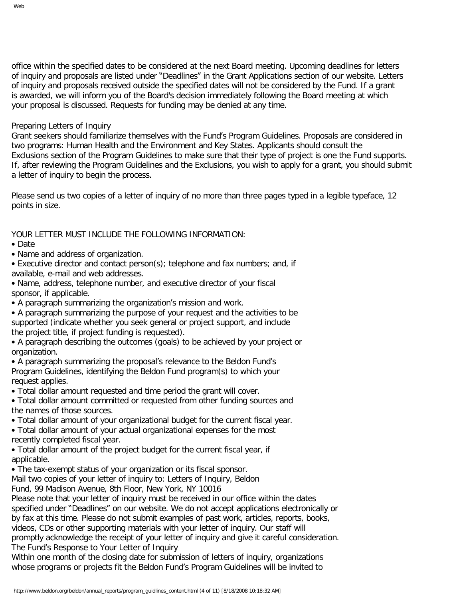office within the specified dates to be considered at the next Board meeting. Upcoming deadlines for letters of inquiry and proposals are listed under "Deadlines" in the Grant Applications section of our website. Letters of inquiry and proposals received outside the specified dates will not be considered by the Fund. If a grant is awarded, we will inform you of the Board's decision immediately following the Board meeting at which your proposal is discussed. Requests for funding may be denied at any time.

#### Preparing Letters of Inquiry

Grant seekers should familiarize themselves with the Fund's Program Guidelines. Proposals are considered in two programs: Human Health and the Environment and Key States. Applicants should consult the Exclusions section of the Program Guidelines to make sure that their type of project is one the Fund supports. If, after reviewing the Program Guidelines and the Exclusions, you wish to apply for a grant, you should submit a letter of inquiry to begin the process.

Please send us two copies of a letter of inquiry of no more than three pages typed in a legible typeface, 12 points in size.

#### YOUR LETTER MUST INCLUDE THE FOLLOWING INFORMATION:

#### • Date

- Name and address of organization.
- Executive director and contact person(s); telephone and fax numbers; and, if available, e-mail and web addresses.
- Name, address, telephone number, and executive director of your fiscal sponsor, if applicable.
- A paragraph summarizing the organization's mission and work.
- A paragraph summarizing the purpose of your request and the activities to be supported (indicate whether you seek general or project support, and include the project title, if project funding is requested).
- A paragraph describing the outcomes (goals) to be achieved by your project or organization.
- A paragraph summarizing the proposal's relevance to the Beldon Fund's Program Guidelines, identifying the Beldon Fund program(s) to which your request applies.
- Total dollar amount requested and time period the grant will cover.
- Total dollar amount committed or requested from other funding sources and the names of those sources.
- Total dollar amount of your organizational budget for the current fiscal year.
- Total dollar amount of your actual organizational expenses for the most recently completed fiscal year.
- Total dollar amount of the project budget for the current fiscal year, if applicable.
- The tax-exempt status of your organization or its fiscal sponsor.
- Mail two copies of your letter of inquiry to: Letters of Inquiry, Beldon
- Fund, 99 Madison Avenue, 8th Floor, New York, NY 10016

Please note that your letter of inquiry must be received in our office within the dates specified under "Deadlines" on our website. We do not accept applications electronically or by fax at this time. Please do not submit examples of past work, articles, reports, books, videos, CDs or other supporting materials with your letter of inquiry. Our staff will promptly acknowledge the receipt of your letter of inquiry and give it careful consideration. The Fund's Response to Your Letter of Inquiry

Within one month of the closing date for submission of letters of inquiry, organizations whose programs or projects fit the Beldon Fund's Program Guidelines will be invited to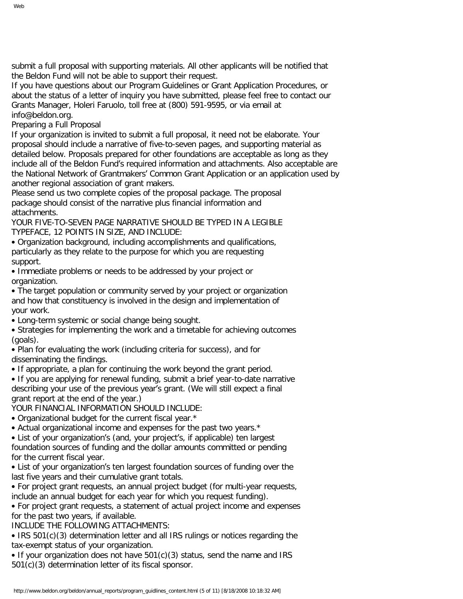submit a full proposal with supporting materials. All other applicants will be notified that the Beldon Fund will not be able to support their request.

If you have questions about our Program Guidelines or Grant Application Procedures, or about the status of a letter of inquiry you have submitted, please feel free to contact our Grants Manager, Holeri Faruolo, toll free at (800) 591-9595, or via email at info@beldon.org.

Preparing a Full Proposal

If your organization is invited to submit a full proposal, it need not be elaborate. Your proposal should include a narrative of five-to-seven pages, and supporting material as detailed below. Proposals prepared for other foundations are acceptable as long as they include all of the Beldon Fund's required information and attachments. Also acceptable are the National Network of Grantmakers' Common Grant Application or an application used by another regional association of grant makers.

Please send us two complete copies of the proposal package. The proposal package should consist of the narrative plus financial information and attachments.

YOUR FIVE-TO-SEVEN PAGE NARRATIVE SHOULD BE TYPED IN A LEGIBLE TYPEFACE, 12 POINTS IN SIZE, AND INCLUDE:

• Organization background, including accomplishments and qualifications, particularly as they relate to the purpose for which you are requesting support.

• Immediate problems or needs to be addressed by your project or organization.

• The target population or community served by your project or organization and how that constituency is involved in the design and implementation of your work.

• Long-term systemic or social change being sought.

• Strategies for implementing the work and a timetable for achieving outcomes (goals).

• Plan for evaluating the work (including criteria for success), and for disseminating the findings.

• If appropriate, a plan for continuing the work beyond the grant period.

• If you are applying for renewal funding, submit a brief year-to-date narrative describing your use of the previous year's grant. (We will still expect a final grant report at the end of the year.)

YOUR FINANCIAL INFORMATION SHOULD INCLUDE:

• Organizational budget for the current fiscal year.\*

• Actual organizational income and expenses for the past two years.\*

• List of your organization's (and, your project's, if applicable) ten largest foundation sources of funding and the dollar amounts committed or pending for the current fiscal year.

• List of your organization's ten largest foundation sources of funding over the last five years and their cumulative grant totals.

• For project grant requests, an annual project budget (for multi-year requests, include an annual budget for each year for which you request funding).

• For project grant requests, a statement of actual project income and expenses for the past two years, if available.

INCLUDE THE FOLLOWING ATTACHMENTS:

• IRS 501(c)(3) determination letter and all IRS rulings or notices regarding the tax-exempt status of your organization.

• If your organization does not have 501(c)(3) status, send the name and IRS 501(c)(3) determination letter of its fiscal sponsor.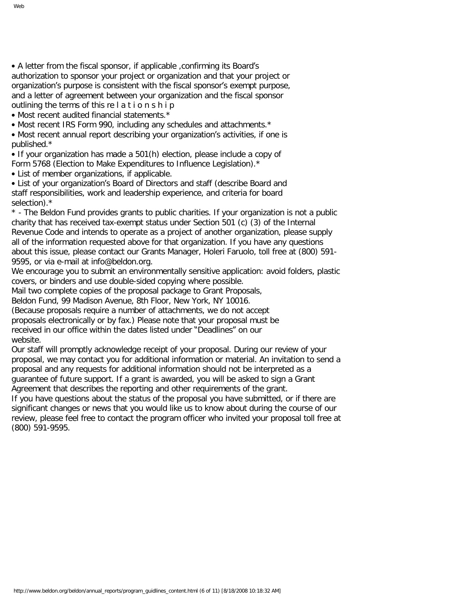• Most recent audited financial statements.\*

• Most recent IRS Form 990, including any schedules and attachments.\*

• Most recent annual report describing your organization's activities, if one is published.\*

• If your organization has made a 501(h) election, please include a copy of Form 5768 (Election to Make Expenditures to Influence Legislation).\*

• List of member organizations, if applicable.

• List of your organization's Board of Directors and staff (describe Board and staff responsibilities, work and leadership experience, and criteria for board selection).\*

\* - The Beldon Fund provides grants to public charities. If your organization is not a public charity that has received tax-exempt status under Section 501 (c) (3) of the Internal Revenue Code and intends to operate as a project of another organization, please supply all of the information requested above for that organization. If you have any questions about this issue, please contact our Grants Manager, Holeri Faruolo, toll free at (800) 591- 9595, or via e-mail at info@beldon.org.

We encourage you to submit an environmentally sensitive application: avoid folders, plastic covers, or binders and use double-sided copying where possible.

Mail two complete copies of the proposal package to Grant Proposals,

Beldon Fund, 99 Madison Avenue, 8th Floor, New York, NY 10016.

(Because proposals require a number of attachments, we do not accept proposals electronically or by fax.) Please note that your proposal must be received in our office within the dates listed under "Deadlines" on our website.

Our staff will promptly acknowledge receipt of your proposal. During our review of your proposal, we may contact you for additional information or material. An invitation to send a proposal and any requests for additional information should not be interpreted as a guarantee of future support. If a grant is awarded, you will be asked to sign a Grant Agreement that describes the reporting and other requirements of the grant.

If you have questions about the status of the proposal you have submitted, or if there are significant changes or news that you would like us to know about during the course of our review, please feel free to contact the program officer who invited your proposal toll free at (800) 591-9595.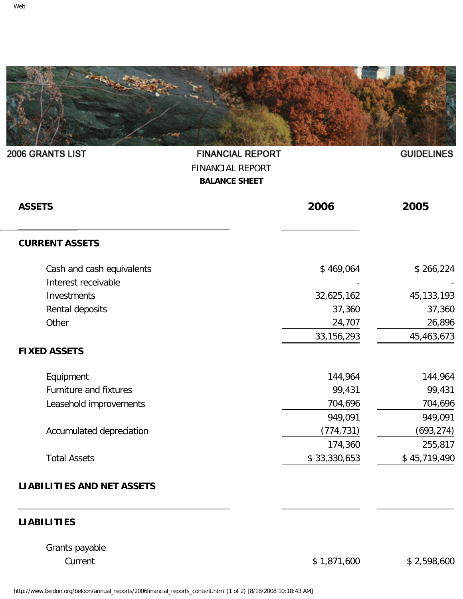<span id="page-34-0"></span>

**FINANCIAL REPORT** 

| <b>FINANCIAL REPORT</b><br><b>BALANCE SHEET</b>  |              |              |  |
|--------------------------------------------------|--------------|--------------|--|
| <b>ASSETS</b>                                    | 2006         | 2005         |  |
| <b>CURRENT ASSETS</b>                            |              |              |  |
| Cash and cash equivalents<br>Interest receivable | \$469,064    | \$266,224    |  |
| Investments                                      | 32,625,162   | 45, 133, 193 |  |
| Rental deposits                                  | 37,360       | 37,360       |  |
| Other                                            | 24,707       | 26,896       |  |
|                                                  | 33, 156, 293 | 45,463,673   |  |
| <b>FIXED ASSETS</b>                              |              |              |  |
| Equipment                                        | 144,964      | 144,964      |  |
| Furniture and fixtures                           | 99,431       | 99,431       |  |
| Leasehold improvements                           | 704,696      | 704,696      |  |
|                                                  | 949,091      | 949,091      |  |
| Accumulated depreciation                         | (774, 731)   | (693, 274)   |  |
|                                                  | 174,360      | 255,817      |  |
| <b>Total Assets</b>                              | \$33,330,653 | \$45,719,490 |  |
| <b>LIABILITIES AND NET ASSETS</b>                |              |              |  |

# **LIABILITIES**

Grants payable

Current \$ 1,871,600 \$ 2,598,600

**GUIDELINES** 

2006 GRANTS LIST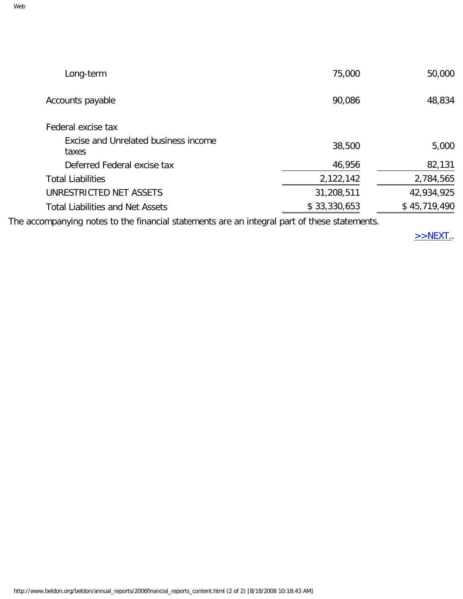| Long-term                                     | 75,000       | 50,000       |
|-----------------------------------------------|--------------|--------------|
| Accounts payable                              | 90,086       | 48,834       |
| Federal excise tax                            |              |              |
| Excise and Unrelated business income<br>taxes | 38,500       | 5,000        |
| Deferred Federal excise tax                   | 46,956       | 82,131       |
| <b>Total Liabilities</b>                      | 2,122,142    | 2,784,565    |
| UNRESTRICTED NET ASSETS                       | 31,208,511   | 42,934,925   |
| <b>Total Liabilities and Net Assets</b>       | \$33,330,653 | \$45,719,490 |
|                                               |              |              |

The accompanying notes to the financial statements are an integral part of these statements.

 $>>$ NEXT.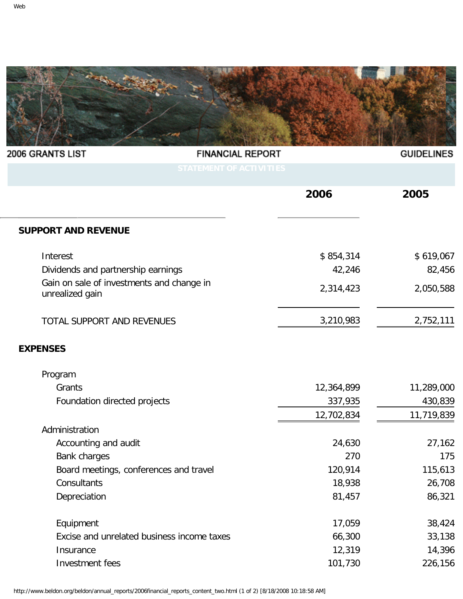<span id="page-36-0"></span>

| 2006 GRANTS LIST                                             | <b>FINANCIAL REPORT</b>        | <b>GUIDELINES</b> |
|--------------------------------------------------------------|--------------------------------|-------------------|
|                                                              | <b>STATEMENT OF ACTIVITIES</b> |                   |
|                                                              | 2006                           | 2005              |
| <b>SUPPORT AND REVENUE</b>                                   |                                |                   |
| Interest                                                     | \$854,314                      | \$619,067         |
| Dividends and partnership earnings                           | 42,246                         | 82,456            |
| Gain on sale of investments and change in<br>unrealized gain | 2,314,423                      | 2,050,588         |
| TOTAL SUPPORT AND REVENUES                                   | 3,210,983                      | 2,752,111         |
| <b>EXPENSES</b>                                              |                                |                   |
| Program                                                      |                                |                   |
| Grants                                                       | 12,364,899                     | 11,289,000        |
| Foundation directed projects                                 | 337,935                        | 430,839           |
|                                                              | 12,702,834                     | 11,719,839        |
| Administration                                               |                                |                   |
| Accounting and audit                                         | 24,630                         | 27,162            |
| Bank charges                                                 | 270                            | 175               |
| Board meetings, conferences and travel                       | 120,914                        | 115,613           |
| Consultants                                                  | 18,938                         | 26,708            |
| Depreciation                                                 | 81,457                         | 86,321            |
| Equipment                                                    | 17,059                         | 38,424            |
| Excise and unrelated business income taxes                   | 66,300                         | 33,138            |
| Insurance                                                    | 12,319                         | 14,396            |
| Investment fees                                              | 101,730                        | 226,156           |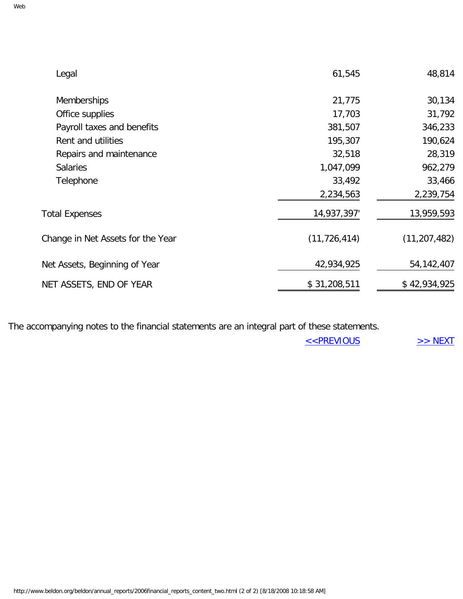| Legal                             | 61,545         | 48,814         |
|-----------------------------------|----------------|----------------|
| Memberships                       | 21,775         | 30,134         |
| Office supplies                   | 17,703         | 31,792         |
| Payroll taxes and benefits        | 381,507        | 346,233        |
| Rent and utilities                | 195,307        | 190,624        |
| Repairs and maintenance           | 32,518         | 28,319         |
| <b>Salaries</b>                   | 1,047,099      | 962,279        |
| Telephone                         | 33,492         | 33,466         |
|                                   | 2,234,563      | 2,239,754      |
| <b>Total Expenses</b>             | 14,937,397'    | 13,959,593     |
| Change in Net Assets for the Year | (11, 726, 414) | (11, 207, 482) |
| Net Assets, Beginning of Year     | 42,934,925     | 54, 142, 407   |
| NET ASSETS, END OF YEAR           | \$31,208,511   | \$42,934,925   |

The accompanying notes to the financial statements are an integral part of these statements.

[<<PREVIOUS](#page-34-0) [>> NEXT](#page-38-0)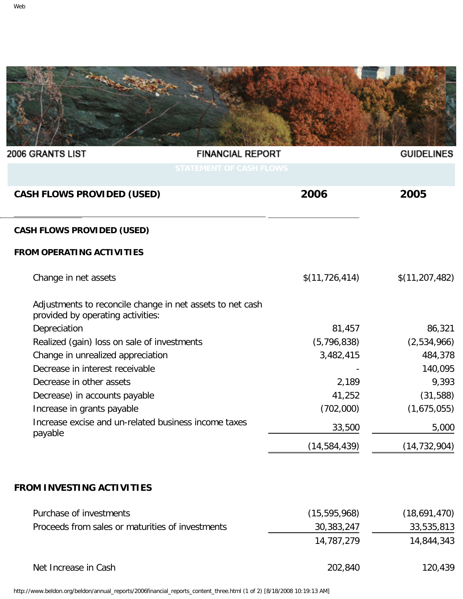<span id="page-38-0"></span>

| 2006 GRANTS LIST                                                                               | <b>FINANCIAL REPORT</b>        | <b>GUIDELINES</b> |
|------------------------------------------------------------------------------------------------|--------------------------------|-------------------|
|                                                                                                | <b>STATEMENT OF CASH FLOWS</b> |                   |
| <b>CASH FLOWS PROVIDED (USED)</b>                                                              | 2006                           | 2005              |
| <b>CASH FLOWS PROVIDED (USED)</b>                                                              |                                |                   |
| <b>FROM OPERATING ACTIVITIES</b>                                                               |                                |                   |
| Change in net assets                                                                           | \$(11, 726, 414)               | \$(11, 207, 482)  |
| Adjustments to reconcile change in net assets to net cash<br>provided by operating activities: |                                |                   |
| Depreciation                                                                                   | 81,457                         | 86,321            |
| Realized (gain) loss on sale of investments                                                    | (5,796,838)                    | (2,534,966)       |
| Change in unrealized appreciation                                                              | 3,482,415                      | 484,378           |
| Decrease in interest receivable                                                                |                                | 140,095           |
| Decrease in other assets                                                                       | 2,189                          | 9,393             |
| Decrease) in accounts payable                                                                  | 41,252                         | (31,588)          |
| Increase in grants payable                                                                     | (702,000)                      | (1,675,055)       |
| Increase excise and un-related business income taxes<br>payable                                | 33,500                         | 5,000             |
|                                                                                                | (14, 584, 439)                 | (14, 732, 904)    |
|                                                                                                |                                |                   |

# **FROM INVESTING ACTIVITIES**

| Purchase of investments                          | (15, 595, 968) | (18,691,470) |
|--------------------------------------------------|----------------|--------------|
| Proceeds from sales or maturities of investments | 30,383,247     | 33,535,813   |
|                                                  | 14,787,279     | 14,844,343   |
| Net Increase in Cash                             | 202,840        | 120,439      |

http://www.beldon.org/beldon/annual\_reports/2006financial\_reports\_content\_three.html (1 of 2) [8/18/2008 10:19:13 AM]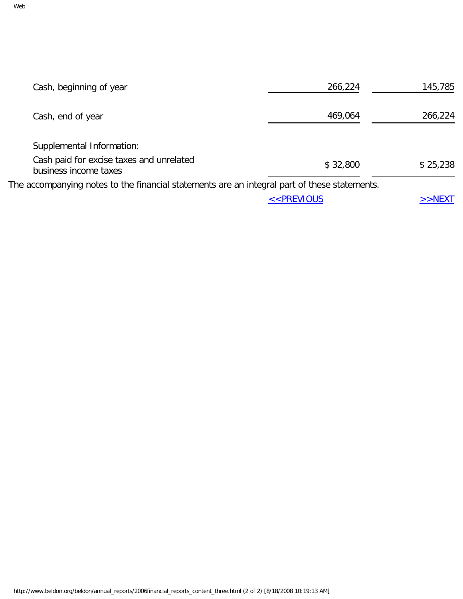| Cash, beginning of year                                                                      | 266,224                                                           | 145,785   |
|----------------------------------------------------------------------------------------------|-------------------------------------------------------------------|-----------|
| Cash, end of year                                                                            | 469,064                                                           | 266,224   |
| Supplemental Information:                                                                    |                                                                   |           |
| Cash paid for excise taxes and unrelated<br>business income taxes                            | \$32,800                                                          | \$25,238  |
| The accompanying notes to the financial statements are an integral part of these statements. |                                                                   |           |
|                                                                                              | < <previous< td=""><td><math>&gt;&gt;</math>NEXT</td></previous<> | $>>$ NEXT |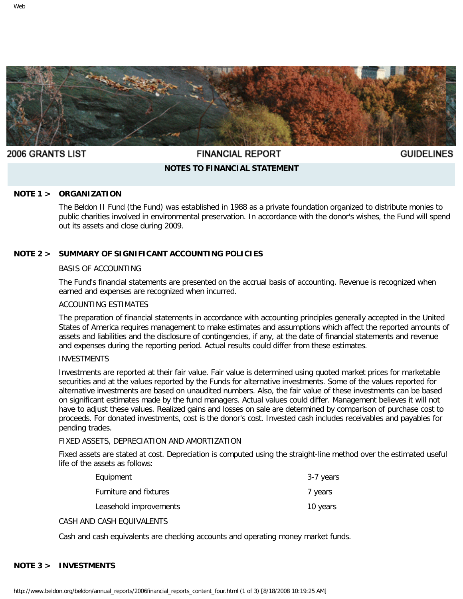<span id="page-40-0"></span>

#### **2006 GRANTS LIST**

# **FINANCIAL REPORT**

**GUIDELINES** 

# **NOTES TO FINANCIAL STATEMENT**

#### **NOTE 1 > ORGANIZATION**

The Beldon II Fund (the Fund) was established in 1988 as a private foundation organized to distribute monies to public charities involved in environmental preservation. In accordance with the donor's wishes, the Fund will spend out its assets and close during 2009.

#### **NOTE 2 > SUMMARY OF SIGNIFICANT ACCOUNTING POLICIES**

#### BASIS OF ACCOUNTING

The Fund's financial statements are presented on the accrual basis of accounting. Revenue is recognized when earned and expenses are recognized when incurred.

#### ACCOUNTING ESTIMATES

The preparation of financial statements in accordance with accounting principles generally accepted in the United States of America requires management to make estimates and assumptions which affect the reported amounts of assets and liabilities and the disclosure of contingencies, if any, at the date of financial statements and revenue and expenses during the reporting period. Actual results could differ from these estimates.

#### INVESTMENTS

Investments are reported at their fair value. Fair value is determined using quoted market prices for marketable securities and at the values reported by the Funds for alternative investments. Some of the values reported for alternative investments are based on unaudited numbers. Also, the fair value of these investments can be based on significant estimates made by the fund managers. Actual values could differ. Management believes it will not have to adjust these values. Realized gains and losses on sale are determined by comparison of purchase cost to proceeds. For donated investments, cost is the donor's cost. Invested cash includes receivables and payables for pending trades.

#### FIXED ASSETS, DEPRECIATION AND AMORTIZATION

Fixed assets are stated at cost. Depreciation is computed using the straight-line method over the estimated useful life of the assets as follows:

| Equipment              | 3-7 years |
|------------------------|-----------|
| Furniture and fixtures | 7 years   |
| Leasehold improvements | 10 years  |

#### CASH AND CASH EQUIVALENTS

Cash and cash equivalents are checking accounts and operating money market funds.

#### **NOTE 3 > INVESTMENTS**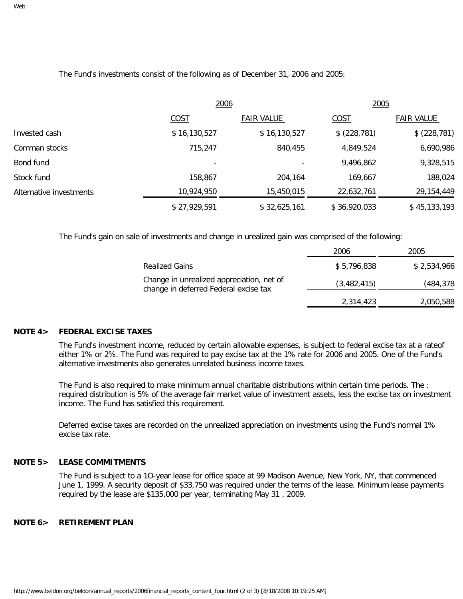The Fund's investments consist of the following as of December 31, 2006 and 2005:

|                         | 2006         |                   | 2005         |                   |
|-------------------------|--------------|-------------------|--------------|-------------------|
|                         | COST         | <b>FAIR VALUE</b> | COST         | <b>FAIR VALUE</b> |
| Invested cash           | \$16,130,527 | \$16,130,527      | \$(228, 781) | \$ (228, 781)     |
| Comman stocks           | 715,247      | 840,455           | 4,849,524    | 6,690,986         |
| Bond fund               |              |                   | 9,496,862    | 9,328,515         |
| Stock fund              | 158,867      | 204,164           | 169,667      | 188,024           |
| Alternative investments | 10,924,950   | 15,450,015        | 22,632,761   | 29, 154, 449      |
|                         | \$27,929,591 | \$32,625,161      | \$36,920,033 | \$45,133,193      |

The Fund's gain on sale of investments and change in urealized gain was comprised of the following:

|                                                                                    | 2006        | 2005        |
|------------------------------------------------------------------------------------|-------------|-------------|
| <b>Realized Gains</b>                                                              | \$5,796,838 | \$2,534,966 |
| Change in unrealized appreciation, net of<br>change in deferred Federal excise tax | (3,482,415) | (484,378    |
|                                                                                    | 2,314,423   | 2,050,588   |

#### **NOTE 4> FEDERAL EXCISE TAXES**

The Fund's investment income, reduced by certain allowable expenses, is subject to federal excise tax at a rateof either 1% or 2%. The Fund was required to pay excise tax at the 1% rate for 2006 and 2005. One of the Fund's alternative investments also generates unrelated business income taxes.

The Fund is also required to make minimum annual charitable distributions within certain time periods. The : required distribution is 5% of the average fair market value of investment assets, less the excise tax on investment income. The Fund has satisfied this requirement.

Deferred excise taxes are recorded on the unrealized appreciation on investments using the Fund's normal 1% excise tax rate.

#### **NOTE 5> LEASE COMMITMENTS**

The Fund is subject to a 1O-year lease for office space at 99 Madison Avenue, New York, NY, that commenced June 1, 1999. A security deposit of \$33,750 was required under the terms of the lease. Minimum lease payments required by the lease are \$135,000 per year, terminating May 31 , 2009.

#### **NOTE 6> RETIREMENT PLAN**